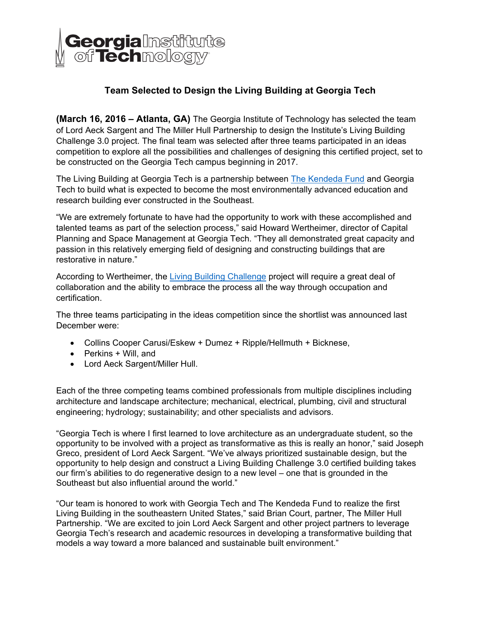

# **Team Selected to Design the Living Building at Georgia Tech**

**(March 16, 2016 – Atlanta, GA)** The Georgia Institute of Technology has selected the team of Lord Aeck Sargent and The Miller Hull Partnership to design the Institute's Living Building Challenge 3.0 project. The final team was selected after three teams participated in an ideas competition to explore all the possibilities and challenges of designing this certified project, set to be constructed on the Georgia Tech campus beginning in 2017.

The Living Building at Georgia Tech is a partnership between The Kendeda Fund and Georgia Tech to build what is expected to become the most environmentally advanced education and research building ever constructed in the Southeast.

"We are extremely fortunate to have had the opportunity to work with these accomplished and talented teams as part of the selection process," said Howard Wertheimer, director of Capital Planning and Space Management at Georgia Tech. "They all demonstrated great capacity and passion in this relatively emerging field of designing and constructing buildings that are restorative in nature."

According to Wertheimer, the Living Building Challenge project will require a great deal of collaboration and the ability to embrace the process all the way through occupation and certification.

The three teams participating in the ideas competition since the shortlist was announced last December were:

- Collins Cooper Carusi/Eskew + Dumez + Ripple/Hellmuth + Bicknese,
- Perkins + Will, and
- Lord Aeck Sargent/Miller Hull.

Each of the three competing teams combined professionals from multiple disciplines including architecture and landscape architecture; mechanical, electrical, plumbing, civil and structural engineering; hydrology; sustainability; and other specialists and advisors.

"Georgia Tech is where I first learned to love architecture as an undergraduate student, so the opportunity to be involved with a project as transformative as this is really an honor," said Joseph Greco, president of Lord Aeck Sargent. "We've always prioritized sustainable design, but the opportunity to help design and construct a Living Building Challenge 3.0 certified building takes our firm's abilities to do regenerative design to a new level – one that is grounded in the Southeast but also influential around the world."

"Our team is honored to work with Georgia Tech and The Kendeda Fund to realize the first Living Building in the southeastern United States," said Brian Court, partner, The Miller Hull Partnership. "We are excited to join Lord Aeck Sargent and other project partners to leverage Georgia Tech's research and academic resources in developing a transformative building that models a way toward a more balanced and sustainable built environment."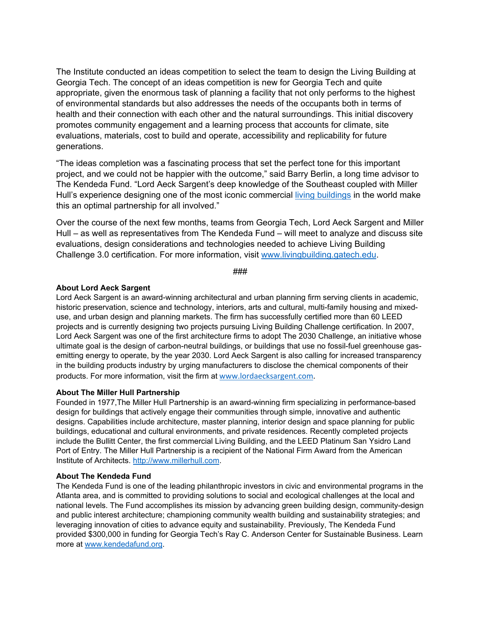The Institute conducted an ideas competition to select the team to design the Living Building at Georgia Tech. The concept of an ideas competition is new for Georgia Tech and quite appropriate, given the enormous task of planning a facility that not only performs to the highest of environmental standards but also addresses the needs of the occupants both in terms of health and their connection with each other and the natural surroundings. This initial discovery promotes community engagement and a learning process that accounts for climate, site evaluations, materials, cost to build and operate, accessibility and replicability for future generations.

"The ideas completion was a fascinating process that set the perfect tone for this important project, and we could not be happier with the outcome," said Barry Berlin, a long time advisor to The Kendeda Fund. "Lord Aeck Sargent's deep knowledge of the Southeast coupled with Miller Hull's experience designing one of the most iconic commercial living buildings in the world make this an optimal partnership for all involved."

Over the course of the next few months, teams from Georgia Tech, Lord Aeck Sargent and Miller Hull – as well as representatives from The Kendeda Fund – will meet to analyze and discuss site evaluations, design considerations and technologies needed to achieve Living Building Challenge 3.0 certification. For more information, visit www.livingbuilding.gatech.edu.

###

#### **About Lord Aeck Sargent**

Lord Aeck Sargent is an award-winning architectural and urban planning firm serving clients in academic, historic preservation, science and technology, interiors, arts and cultural, multi-family housing and mixeduse, and urban design and planning markets. The firm has successfully certified more than 60 LEED projects and is currently designing two projects pursuing Living Building Challenge certification. In 2007, Lord Aeck Sargent was one of the first architecture firms to adopt The 2030 Challenge, an initiative whose ultimate goal is the design of carbon-neutral buildings, or buildings that use no fossil-fuel greenhouse gasemitting energy to operate, by the year 2030. Lord Aeck Sargent is also calling for increased transparency in the building products industry by urging manufacturers to disclose the chemical components of their products. For more information, visit the firm at www.lordaecksargent.com.

### **About The Miller Hull Partnership**

Founded in 1977,The Miller Hull Partnership is an award-winning firm specializing in performance-based design for buildings that actively engage their communities through simple, innovative and authentic designs. Capabilities include architecture, master planning, interior design and space planning for public buildings, educational and cultural environments, and private residences. Recently completed projects include the Bullitt Center, the first commercial Living Building, and the LEED Platinum San Ysidro Land Port of Entry. The Miller Hull Partnership is a recipient of the National Firm Award from the American Institute of Architects. http://www.millerhull.com.

#### **About The Kendeda Fund**

The Kendeda Fund is one of the leading philanthropic investors in civic and environmental programs in the Atlanta area, and is committed to providing solutions to social and ecological challenges at the local and national levels. The Fund accomplishes its mission by advancing green building design, community-design and public interest architecture; championing community wealth building and sustainability strategies; and leveraging innovation of cities to advance equity and sustainability. Previously, The Kendeda Fund provided \$300,000 in funding for Georgia Tech's Ray C. Anderson Center for Sustainable Business. Learn more at www.kendedafund.org.